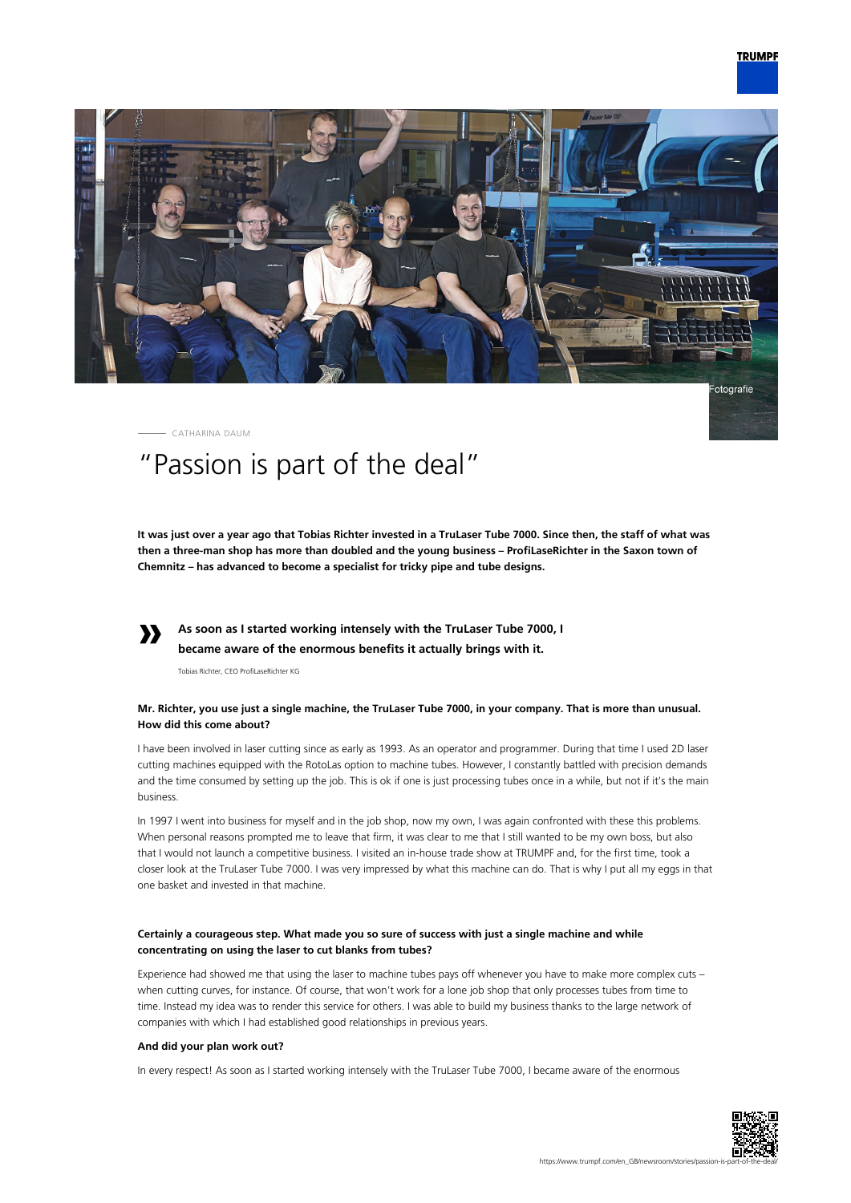

CATHARINA DAUM

# "Passion is part of the deal"

**It was just over a year ago that Tobias Richter invested in a TruLaser Tube 7000. Since then, the staff of what was then a three-man shop has more than doubled and the young business – ProfiLaseRichter in the Saxon town of Chemnitz – has advanced to become a specialist for tricky pipe and tube designs.**

#### **» As soon as I started working intensely with the TruLaser Tube 7000, I became aware of the enormous benefits it actually brings with it.**

Tobias Richter, CEO ProfiLaseRichter KG

# **Mr. Richter, you use just a single machine, the TruLaser Tube 7000, in your company. That is more than unusual. How did this come about?**

I have been involved in laser cutting since as early as 1993. As an operator and programmer. During that time I used 2D laser cutting machines equipped with the RotoLas option to machine tubes. However, I constantly battled with precision demands and the time consumed by setting up the job. This is ok if one is just processing tubes once in a while, but not if it's the main business.

In 1997 I went into business for myself and in the job shop, now my own, I was again confronted with these this problems. When personal reasons prompted me to leave that firm, it was clear to me that I still wanted to be my own boss, but also that I would not launch a competitive business. I visited an in-house trade show at TRUMPF and, for the first time, took a closer look at the TruLaser Tube 7000. I was very impressed by what this machine can do. That is why I put all my eggs in that one basket and invested in that machine.

# **Certainly a courageous step. What made you so sure of success with just a single machine and while concentrating on using the laser to cut blanks from tubes?**

Experience had showed me that using the laser to machine tubes pays off whenever you have to make more complex cuts – when cutting curves, for instance. Of course, that won't work for a lone job shop that only processes tubes from time to time. Instead my idea was to render this service for others. I was able to build my business thanks to the large network of companies with which I had established good relationships in previous years.

## **And did your plan work out?**

In every respect! As soon as I started working intensely with the TruLaser Tube 7000, I became aware of the enormous

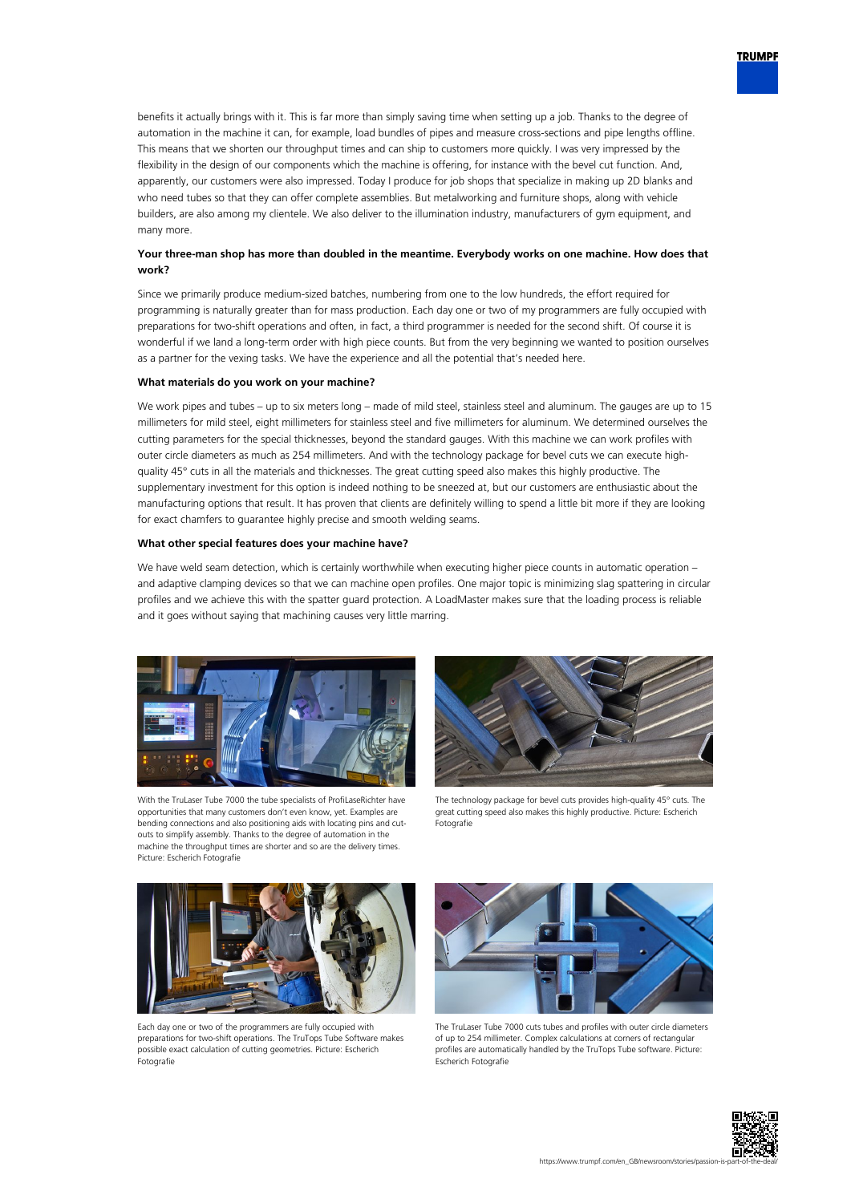

# **Your three-man shop has more than doubled in the meantime. Everybody works on one machine. How does that work?**

Since we primarily produce medium-sized batches, numbering from one to the low hundreds, the effort required for programming is naturally greater than for mass production. Each day one or two of my programmers are fully occupied with preparations for two-shift operations and often, in fact, a third programmer is needed for the second shift. Of course it is wonderful if we land a long-term order with high piece counts. But from the very beginning we wanted to position ourselves as a partner for the vexing tasks. We have the experience and all the potential that's needed here.

## **What materials do you work on your machine?**

We work pipes and tubes – up to six meters long – made of mild steel, stainless steel and aluminum. The gauges are up to 15 millimeters for mild steel, eight millimeters for stainless steel and five millimeters for aluminum. We determined ourselves the cutting parameters for the special thicknesses, beyond the standard gauges. With this machine we can work profiles with outer circle diameters as much as 254 millimeters. And with the technology package for bevel cuts we can execute highquality 45° cuts in all the materials and thicknesses. The great cutting speed also makes this highly productive. The supplementary investment for this option is indeed nothing to be sneezed at, but our customers are enthusiastic about the manufacturing options that result. It has proven that clients are definitely willing to spend a little bit more if they are looking for exact chamfers to guarantee highly precise and smooth welding seams.

#### **What other special features does your machine have?**

We have weld seam detection, which is certainly worthwhile when executing higher piece counts in automatic operation – and adaptive clamping devices so that we can machine open profiles. One major topic is minimizing slag spattering in circular profiles and we achieve this with the spatter guard protection. A LoadMaster makes sure that the loading process is reliable and it goes without saying that machining causes very little marring.



With the TruLaser Tube 7000 the tube specialists of Profil aseRichter have opportunities that many customers don't even know, yet. Examples are bending connections and also positioning aids with locating pins and cutouts to simplify assembly. Thanks to the degree of automation in the machine the throughput times are shorter and so are the delivery times. Picture: Escherich Fotografie



The technology package for bevel cuts provides high-quality 45° cuts. The great cutting speed also makes this highly productive. Picture: Escherich Fotografie



Each day one or two of the programmers are fully occupied with preparations for two-shift operations. The TruTops Tube Software makes possible exact calculation of cutting geometries. Picture: Escherich Fotografie



The TruLaser Tube 7000 cuts tubes and profiles with outer circle diameters of up to 254 millimeter. Complex calculations at corners of rectangular profiles are automatically handled by the TruTops Tube software. Picture: Escherich Fotografie



**TRUMPF**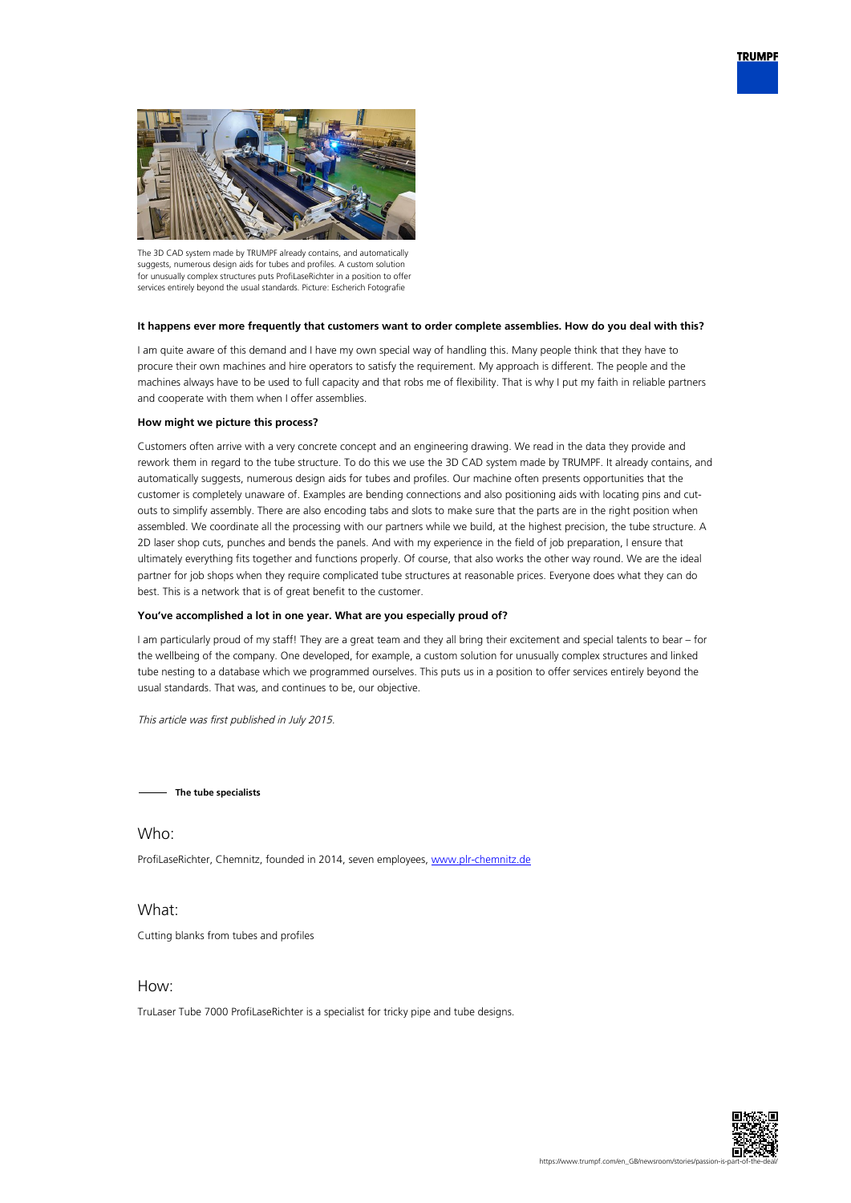



The 3D CAD system made by TRUMPF already contains, and automatically suggests, numerous design aids for tubes and profiles. A custom solution for unusually complex structures puts ProfiLaseRichter in a position to offer services entirely beyond the usual standards. Picture: Escherich Fotografie

## **It happens ever more frequently that customers want to order complete assemblies. How do you deal with this?**

I am quite aware of this demand and I have my own special way of handling this. Many people think that they have to procure their own machines and hire operators to satisfy the requirement. My approach is different. The people and the machines always have to be used to full capacity and that robs me of flexibility. That is why I put my faith in reliable partners and cooperate with them when I offer assemblies.

### **How might we picture this process?**

Customers often arrive with a very concrete concept and an engineering drawing. We read in the data they provide and rework them in regard to the tube structure. To do this we use the 3D CAD system made by TRUMPF. It already contains, and automatically suggests, numerous design aids for tubes and profiles. Our machine often presents opportunities that the customer is completely unaware of. Examples are bending connections and also positioning aids with locating pins and cutouts to simplify assembly. There are also encoding tabs and slots to make sure that the parts are in the right position when assembled. We coordinate all the processing with our partners while we build, at the highest precision, the tube structure. A 2D laser shop cuts, punches and bends the panels. And with my experience in the field of job preparation, I ensure that ultimately everything fits together and functions properly. Of course, that also works the other way round. We are the ideal partner for job shops when they require complicated tube structures at reasonable prices. Everyone does what they can do best. This is a network that is of great benefit to the customer.

## **You've accomplished a lot in one year. What are you especially proud of?**

I am particularly proud of my staff! They are a great team and they all bring their excitement and special talents to bear – for the wellbeing of the company. One developed, for example, a custom solution for unusually complex structures and linked tube nesting to a database which we programmed ourselves. This puts us in a position to offer services entirely beyond the usual standards. That was, and continues to be, our objective.

This article was first published in July 2015.

**The tube specialists**

ProfiLaseRichter, Chemnitz, founded in 2014, seven employees, [www.plr-chemnitz.de](http://www.plr-chemnitz.de)

# What:

Who:

Cutting blanks from tubes and profiles

# How:

TruLaser Tube 7000 ProfiLaseRichter is a specialist for tricky pipe and tube designs.